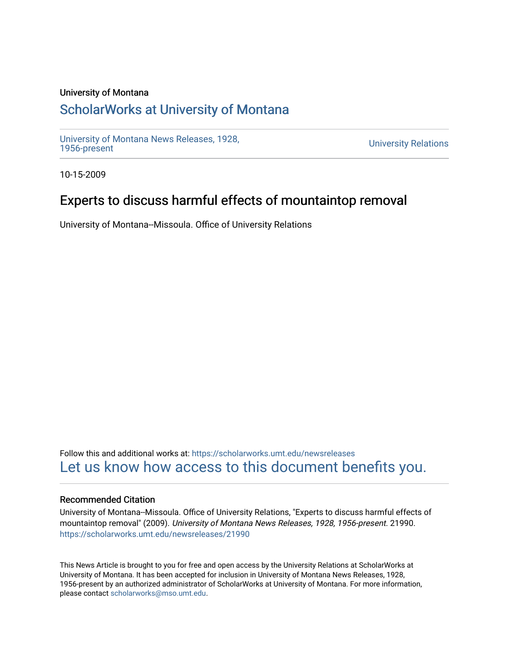#### University of Montana

# [ScholarWorks at University of Montana](https://scholarworks.umt.edu/)

[University of Montana News Releases, 1928,](https://scholarworks.umt.edu/newsreleases) 

**University Relations** 

10-15-2009

# Experts to discuss harmful effects of mountaintop removal

University of Montana--Missoula. Office of University Relations

Follow this and additional works at: [https://scholarworks.umt.edu/newsreleases](https://scholarworks.umt.edu/newsreleases?utm_source=scholarworks.umt.edu%2Fnewsreleases%2F21990&utm_medium=PDF&utm_campaign=PDFCoverPages) [Let us know how access to this document benefits you.](https://goo.gl/forms/s2rGfXOLzz71qgsB2) 

#### Recommended Citation

University of Montana--Missoula. Office of University Relations, "Experts to discuss harmful effects of mountaintop removal" (2009). University of Montana News Releases, 1928, 1956-present. 21990. [https://scholarworks.umt.edu/newsreleases/21990](https://scholarworks.umt.edu/newsreleases/21990?utm_source=scholarworks.umt.edu%2Fnewsreleases%2F21990&utm_medium=PDF&utm_campaign=PDFCoverPages) 

This News Article is brought to you for free and open access by the University Relations at ScholarWorks at University of Montana. It has been accepted for inclusion in University of Montana News Releases, 1928, 1956-present by an authorized administrator of ScholarWorks at University of Montana. For more information, please contact [scholarworks@mso.umt.edu.](mailto:scholarworks@mso.umt.edu)